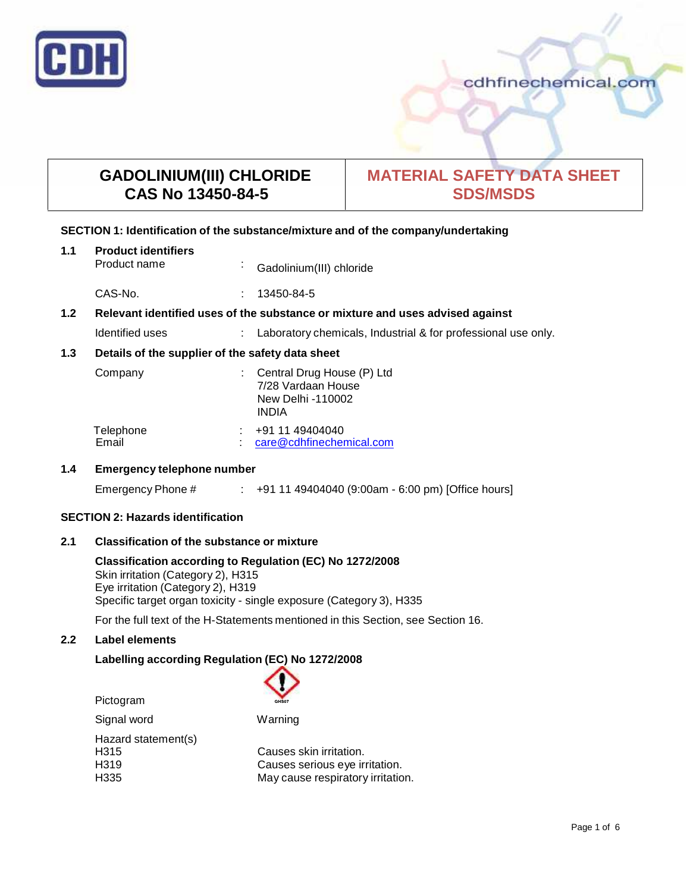

# **GADOLINIUM(III) CHLORIDE CAS No 13450-84-5**

# **MATERIAL SAFETY DATA SHEET SDS/MSDS**

# **SECTION 1: Identification of the substance/mixture and of the company/undertaking**

| 1.1 | <b>Product identifiers</b><br>Product name                                    | $\mathbf{r}$ | Gadolinium(III) chloride                                                              |
|-----|-------------------------------------------------------------------------------|--------------|---------------------------------------------------------------------------------------|
|     | CAS-No.                                                                       | ÷            | 13450-84-5                                                                            |
| 1.2 | Relevant identified uses of the substance or mixture and uses advised against |              |                                                                                       |
|     | Identified uses                                                               |              | Laboratory chemicals, Industrial & for professional use only.                         |
| 1.3 | Details of the supplier of the safety data sheet                              |              |                                                                                       |
|     | Company                                                                       |              | Central Drug House (P) Ltd<br>7/28 Vardaan House<br>New Delhi -110002<br><b>INDIA</b> |
|     | Telephone<br>Email                                                            |              | +91 11 49404040<br>care@cdhfinechemical.com                                           |

# **1.4 Emergency telephone number**

Emergency Phone # : +91 11 49404040 (9:00am - 6:00 pm) [Office hours]

# **SECTION 2: Hazards identification**

# **2.1 Classification of the substance ormixture**

**Classification according to Regulation (EC) No 1272/2008** Skin irritation (Category 2), H315 Eye irritation (Category 2), H319 Specific target organ toxicity - single exposure (Category 3), H335

For the full text of the H-Statements mentioned in this Section, see Section 16.

# **2.2 Label elements**

# **Labelling according Regulation (EC) No 1272/2008**

| Pictogram           | GHS07                             |
|---------------------|-----------------------------------|
| Signal word         | Warning                           |
| Hazard statement(s) |                                   |
| H315                | Causes skin irritation.           |
| H319                | Causes serious eye irritation.    |
| H335                | May cause respiratory irritation. |
|                     |                                   |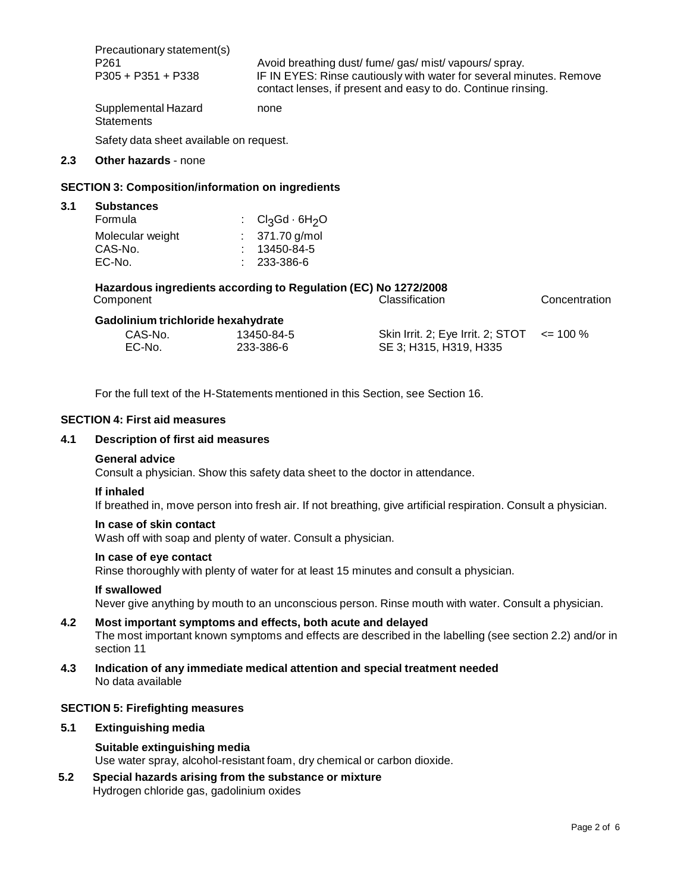|                                         | Precautionary statement(s)<br>P <sub>261</sub><br>P305 + P351 + P338                                            |                                                                                  | Avoid breathing dust/fume/gas/mist/vapours/spray.<br>IF IN EYES: Rinse cautiously with water for several minutes. Remove<br>contact lenses, if present and easy to do. Continue rinsing. |              |
|-----------------------------------------|-----------------------------------------------------------------------------------------------------------------|----------------------------------------------------------------------------------|------------------------------------------------------------------------------------------------------------------------------------------------------------------------------------------|--------------|
|                                         | Supplemental Hazard<br><b>Statements</b>                                                                        | none                                                                             |                                                                                                                                                                                          |              |
| Safety data sheet available on request. |                                                                                                                 |                                                                                  |                                                                                                                                                                                          |              |
| 2.3                                     | <b>Other hazards - none</b>                                                                                     |                                                                                  |                                                                                                                                                                                          |              |
|                                         | <b>SECTION 3: Composition/information on ingredients</b>                                                        |                                                                                  |                                                                                                                                                                                          |              |
| 3.1                                     | <b>Substances</b><br>Formula<br>Molecular weight<br>CAS-No.<br>EC-No.                                           | Cl3Gd · 6H <sub>2</sub> O<br>: $371.70$ g/mol<br>$: 13450 - 84 - 5$<br>233-386-6 |                                                                                                                                                                                          |              |
|                                         | Hazardous ingredients according to Regulation (EC) No 1272/2008<br>Classification<br>Concentration<br>Component |                                                                                  |                                                                                                                                                                                          |              |
|                                         | Gadolinium trichloride hexahydrate<br>CAS-No.<br>EC-No.                                                         | 13450-84-5<br>233-386-6                                                          | Skin Irrit. 2; Eye Irrit. 2; STOT<br>SE 3; H315, H319, H335                                                                                                                              | $\leq$ 100 % |

For the full text of the H-Statements mentioned in this Section, see Section 16.

## **SECTION 4: First aid measures**

# **4.1 Description of first aid measures**

# **General advice**

Consult a physician. Show this safety data sheet to the doctor in attendance.

### **If inhaled**

If breathed in, move person into fresh air. If not breathing, give artificial respiration. Consult a physician.

#### **In case of skin contact**

Wash off with soap and plenty of water. Consult a physician.

### **In case of eye contact**

Rinse thoroughly with plenty of water for at least 15 minutes and consult a physician.

### **If swallowed**

Never give anything by mouth to an unconscious person. Rinse mouth with water. Consult a physician.

# **4.2 Most important symptoms and effects, both acute and delayed**

The most important known symptoms and effects are described in the labelling (see section 2.2) and/or in section 11

**4.3 Indication of any immediate medical attention and special treatment needed** No data available

### **SECTION 5: Firefighting measures**

# **5.1 Extinguishing media**

## **Suitable extinguishing media**

Use water spray, alcohol-resistant foam, dry chemical or carbon dioxide.

**5.2 Special hazards arising from the substance ormixture** Hydrogen chloride gas, gadolinium oxides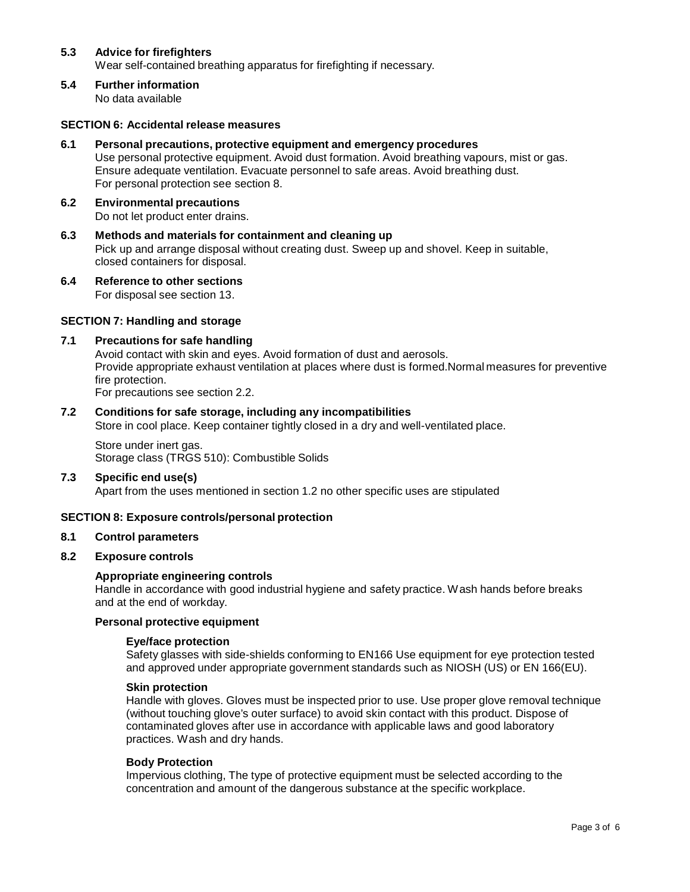# **5.3 Advice for firefighters**

Wear self-contained breathing apparatus for firefighting if necessary.

**5.4 Further information** No data available

## **SECTION 6: Accidental release measures**

- **6.1 Personal precautions, protective equipment and emergency procedures** Use personal protective equipment. Avoid dust formation. Avoid breathing vapours, mist or gas. Ensure adequate ventilation. Evacuate personnel to safe areas. Avoid breathing dust. For personal protection see section 8.
- **6.2 Environmental precautions** Do not let product enter drains.
- **6.3 Methods and materials for containment and cleaning up** Pick up and arrange disposal without creating dust. Sweep up and shovel. Keep in suitable, closed containers for disposal.
- **6.4 Reference to other sections** For disposal see section 13.

# **SECTION 7: Handling and storage**

# **7.1 Precautions for safe handling**

Avoid contact with skin and eyes. Avoid formation of dust and aerosols. Provide appropriate exhaust ventilation at places where dust is formed.Normal measures for preventive fire protection. For precautions see section 2.2.

## **7.2 Conditions for safe storage, including any incompatibilities**

Store in cool place. Keep container tightly closed in a dry and well-ventilated place.

Store under inert gas. Storage class (TRGS 510): Combustible Solids

# **7.3 Specific end use(s)**

Apart from the uses mentioned in section 1.2 no other specific uses are stipulated

### **SECTION 8: Exposure controls/personal protection**

### **8.1 Control parameters**

### **8.2 Exposure controls**

### **Appropriate engineering controls**

Handle in accordance with good industrial hygiene and safety practice. Wash hands before breaks and at the end of workday.

# **Personal protective equipment**

### **Eye/face protection**

Safety glasses with side-shields conforming to EN166 Use equipment for eye protection tested and approved under appropriate government standards such as NIOSH (US) or EN 166(EU).

### **Skin protection**

Handle with gloves. Gloves must be inspected prior to use. Use proper glove removal technique (without touching glove's outer surface) to avoid skin contact with this product. Dispose of contaminated gloves after use in accordance with applicable laws and good laboratory practices. Wash and dry hands.

# **Body Protection**

Impervious clothing, The type of protective equipment must be selected according to the concentration and amount of the dangerous substance at the specific workplace.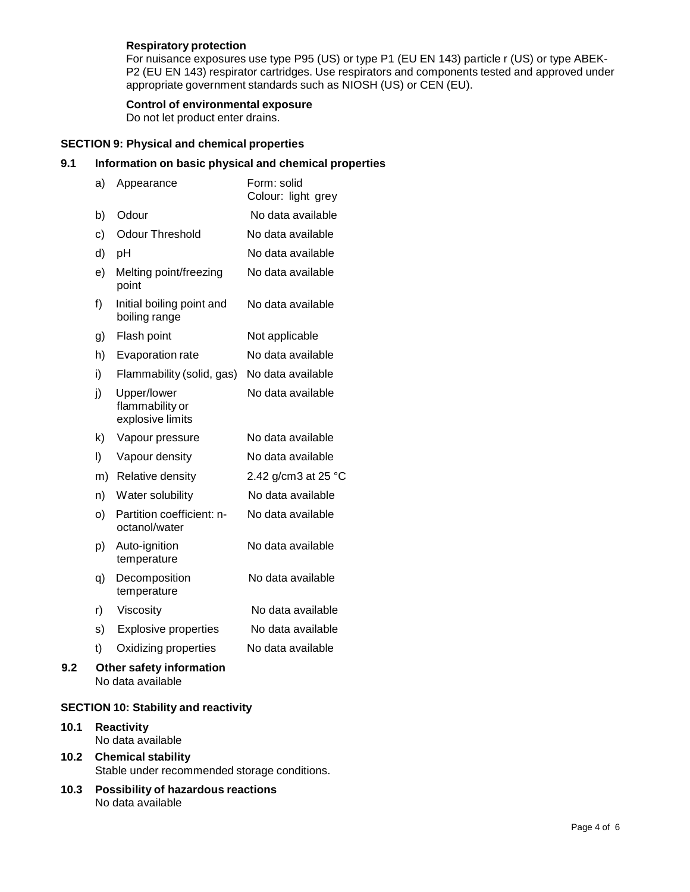# **Respiratory protection**

For nuisance exposures use type P95 (US) or type P1 (EU EN 143) particle r (US) or type ABEK- P2 (EU EN 143) respirator cartridges. Use respirators and components tested and approved under appropriate government standards such as NIOSH (US) or CEN (EU).

# **Control of environmental exposure**

Do not let product enter drains.

# **SECTION 9: Physical and chemical properties**

# **9.1 Information on basic physical and chemical properties**

| a) | Appearance                                         | Form: solid<br>Colour: light grey |
|----|----------------------------------------------------|-----------------------------------|
| b) | Odour                                              | No data available                 |
| c) | <b>Odour Threshold</b>                             | No data available                 |
| d) | pH                                                 | No data available                 |
| e) | Melting point/freezing<br>point                    | No data available                 |
| f) | Initial boiling point and<br>boiling range         | No data available                 |
| g) | Flash point                                        | Not applicable                    |
| h) | Evaporation rate                                   | No data available                 |
| i) | Flammability (solid, gas)                          | No data available                 |
| j) | Upper/lower<br>flammability or<br>explosive limits | No data available                 |
| k) | Vapour pressure                                    | No data available                 |
| I) | Vapour density                                     | No data available                 |
| m) | Relative density                                   | 2.42 g/cm3 at 25 °C               |
| n) | Water solubility                                   | No data available                 |
| o) | Partition coefficient: n-<br>octanol/water         | No data available                 |
| p) | Auto-ignition<br>temperature                       | No data available                 |
| q) | Decomposition<br>temperature                       | No data available                 |
| r) | Viscosity                                          | No data available                 |
| s) | <b>Explosive properties</b>                        | No data available                 |
| t) | Oxidizing properties                               | No data available                 |
|    | Other safety information<br>No data available      |                                   |

# **SECTION 10: Stability and reactivity**

## **10.1 Reactivity** No data available

- **10.2 Chemical stability** Stable under recommended storage conditions.
- **10.3 Possibility of hazardous reactions** No data available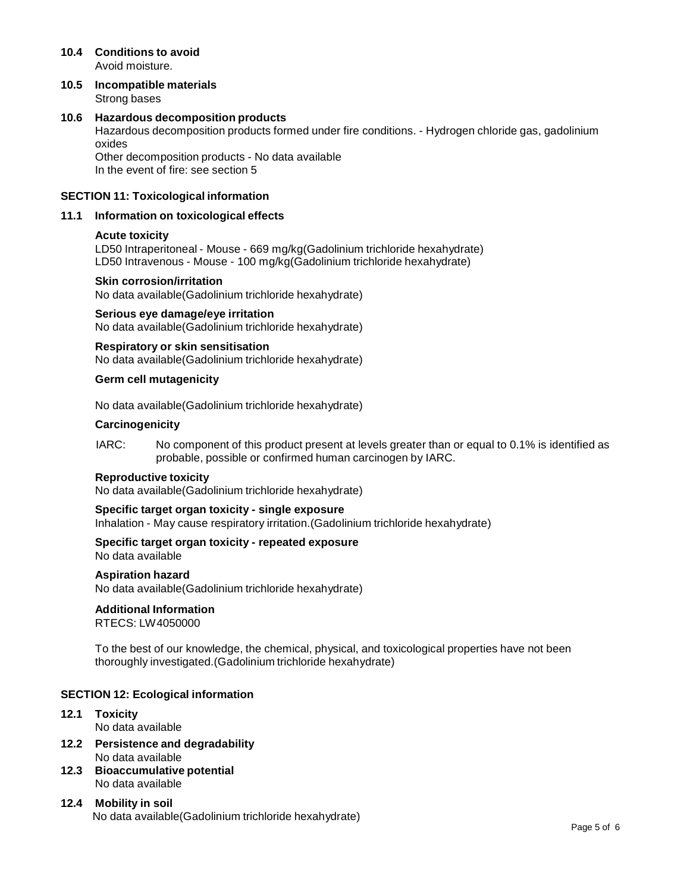### **10.4 Conditions to avoid** Avoid moisture.

**10.5 Incompatible materials** Strong bases

# **10.6 Hazardous decomposition products**

Hazardous decomposition products formed under fire conditions. - Hydrogen chloride gas, gadolinium oxides

Other decomposition products - No data available In the event of fire: see section 5

## **SECTION 11: Toxicological information**

### **11.1 Information on toxicological effects**

### **Acute toxicity**

LD50 Intraperitoneal - Mouse - 669 mg/kg(Gadolinium trichloride hexahydrate) LD50 Intravenous - Mouse - 100 mg/kg(Gadolinium trichloride hexahydrate)

### **Skin corrosion/irritation**

No data available(Gadolinium trichloride hexahydrate)

### **Serious eye damage/eye irritation**

No data available(Gadolinium trichloride hexahydrate)

### **Respiratory orskin sensitisation**

No data available(Gadolinium trichloride hexahydrate)

### **Germ cell mutagenicity**

No data available(Gadolinium trichloride hexahydrate)

### **Carcinogenicity**

IARC: No component of this product present at levels greater than or equal to 0.1% is identified as probable, possible or confirmed human carcinogen by IARC.

### **Reproductive toxicity**

No data available(Gadolinium trichloride hexahydrate)

### **Specific target organ toxicity - single exposure**

Inhalation - May cause respiratory irritation.(Gadolinium trichloride hexahydrate)

### **Specific target organ toxicity - repeated exposure** No data available

# **Aspiration hazard**

No data available(Gadolinium trichloride hexahydrate)

### **Additional Information**

RTECS: LW4050000

To the best of our knowledge, the chemical, physical, and toxicological properties have not been thoroughly investigated.(Gadolinium trichloride hexahydrate)

### **SECTION 12: Ecological information**

- **12.1 Toxicity** No data available
- **12.2 Persistence and degradability** No data available
- **12.3 Bioaccumulative potential** No data available
- **12.4 Mobility in soil** No data available(Gadolinium trichloride hexahydrate)